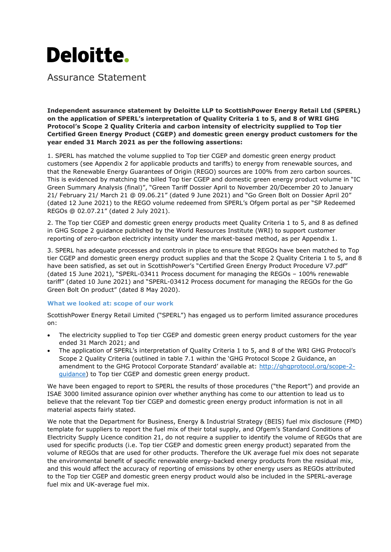

Assurance Statement

**Independent assurance statement by Deloitte LLP to ScottishPower Energy Retail Ltd (SPERL) on the application of SPERL's interpretation of Quality Criteria 1 to 5, and 8 of WRI GHG Protocol's Scope 2 Quality Criteria and carbon intensity of electricity supplied to Top tier Certified Green Energy Product (CGEP) and domestic green energy product customers for the year ended 31 March 2021 as per the following assertions:**

1. SPERL has matched the volume supplied to Top tier CGEP and domestic green energy product customers (see Appendix 2 for applicable products and tariffs) to energy from renewable sources, and that the Renewable Energy Guarantees of Origin (REGO) sources are 100% from zero carbon sources. This is evidenced by matching the billed Top tier CGEP and domestic green energy product volume in "IC Green Summary Analysis (final)", "Green Tariff Dossier April to November 20/December 20 to January 21/ February 21/ March 21 @ 09.06.21" (dated 9 June 2021) and "Go Green Bolt on Dossier April 20" (dated 12 June 2021) to the REGO volume redeemed from SPERL's Ofgem portal as per "SP Redeemed REGOs @ 02.07.21" (dated 2 July 2021).

2. The Top tier CGEP and domestic green energy products meet Quality Criteria 1 to 5, and 8 as defined in GHG Scope 2 guidance published by the World Resources Institute (WRI) to support customer reporting of zero-carbon electricity intensity under the market-based method, as per Appendix 1.

3. SPERL has adequate processes and controls in place to ensure that REGOs have been matched to Top tier CGEP and domestic green energy product supplies and that the Scope 2 Quality Criteria 1 to 5, and 8 have been satisfied, as set out in ScottishPower's "Certified Green Energy Product Procedure V7.pdf" (dated 15 June 2021), "SPERL-03411 Process document for managing the REGOs – 100% renewable tariff" (dated 10 June 2021) and "SPERL-03412 Process document for managing the REGOs for the Go Green Bolt On product" (dated 8 May 2020).

### **What we looked at: scope of our work**

ScottishPower Energy Retail Limited ("SPERL") has engaged us to perform limited assurance procedures on:

- The electricity supplied to Top tier CGEP and domestic green energy product customers for the year ended 31 March 2021; and
- The application of SPERL's interpretation of Quality Criteria 1 to 5, and 8 of the WRI GHG Protocol's Scope 2 Quality Criteria (outlined in table 7.1 within the 'GHG Protocol Scope 2 Guidance, an amendment to the GHG Protocol Corporate Standard' available at: [http://ghgprotocol.org/scope-2](http://ghgprotocol.org/scope-2-guidance) [guidance\)](http://ghgprotocol.org/scope-2-guidance) to Top tier CGEP and domestic green energy product.

We have been engaged to report to SPERL the results of those procedures ("the Report") and provide an ISAE 3000 limited assurance opinion over whether anything has come to our attention to lead us to believe that the relevant Top tier CGEP and domestic green energy product information is not in all material aspects fairly stated.

We note that the Department for Business, Energy & Industrial Strategy (BEIS) fuel mix disclosure (FMD) template for suppliers to report the fuel mix of their total supply, and Ofgem's Standard Conditions of Electricity Supply Licence condition 21, do not require a supplier to identify the volume of REGOs that are used for specific products (i.e. Top tier CGEP and domestic green energy product) separated from the volume of REGOs that are used for other products. Therefore the UK average fuel mix does not separate the environmental benefit of specific renewable energy-backed energy products from the residual mix, and this would affect the accuracy of reporting of emissions by other energy users as REGOs attributed to the Top tier CGEP and domestic green energy product would also be included in the SPERL-average fuel mix and UK-average fuel mix.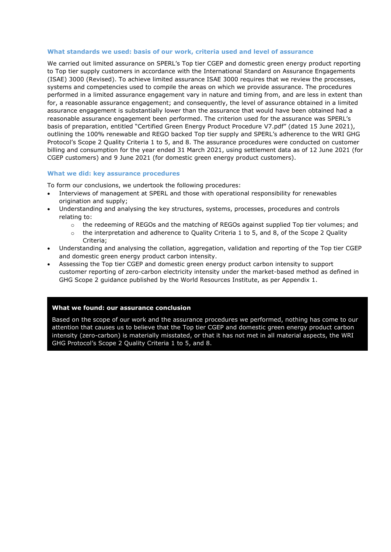### **What standards we used: basis of our work, criteria used and level of assurance**

We carried out limited assurance on SPERL's Top tier CGEP and domestic green energy product reporting to Top tier supply customers in accordance with the International Standard on Assurance Engagements (ISAE) 3000 (Revised). To achieve limited assurance ISAE 3000 requires that we review the processes, systems and competencies used to compile the areas on which we provide assurance. The procedures performed in a limited assurance engagement vary in nature and timing from, and are less in extent than for, a reasonable assurance engagement; and consequently, the level of assurance obtained in a limited assurance engagement is substantially lower than the assurance that would have been obtained had a reasonable assurance engagement been performed. The criterion used for the assurance was SPERL's basis of preparation, entitled "Certified Green Energy Product Procedure V7.pdf" (dated 15 June 2021), outlining the 100% renewable and REGO backed Top tier supply and SPERL's adherence to the WRI GHG Protocol's Scope 2 Quality Criteria 1 to 5, and 8. The assurance procedures were conducted on customer billing and consumption for the year ended 31 March 2021, using settlement data as of 12 June 2021 (for CGEP customers) and 9 June 2021 (for domestic green energy product customers).

### **What we did: key assurance procedures**

To form our conclusions, we undertook the following procedures:

- Interviews of management at SPERL and those with operational responsibility for renewables origination and supply;
- Understanding and analysing the key structures, systems, processes, procedures and controls relating to:
	- o the redeeming of REGOs and the matching of REGOs against supplied Top tier volumes; and
	- $\circ$  the interpretation and adherence to Quality Criteria 1 to 5, and 8, of the Scope 2 Quality Criteria;
- Understanding and analysing the collation, aggregation, validation and reporting of the Top tier CGEP and domestic green energy product carbon intensity.
- Assessing the Top tier CGEP and domestic green energy product carbon intensity to support customer reporting of zero-carbon electricity intensity under the market-based method as defined in GHG Scope 2 guidance published by the World Resources Institute, as per Appendix 1.

### **What we found: our assurance conclusion**

**Other limitations** intensity (zero-carbon) is materially misstated, or that it has not met in all material aspects, the WRI Based on the scope of our work and the assurance procedures we performed, nothing has come to our attention that causes us to believe that the Top tier CGEP and domestic green energy product carbon GHG Protocol's Scope 2 Quality Criteria 1 to 5, and 8.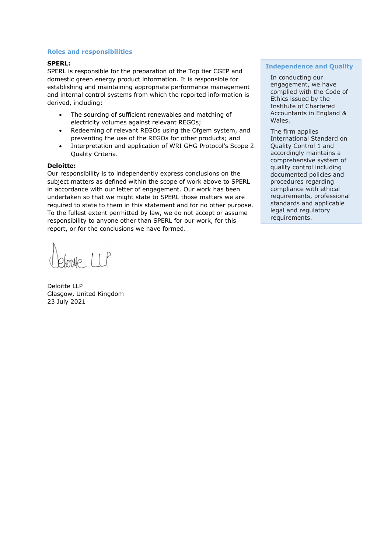## **Roles and responsibilities**

### **SPERL:**

SPERL is responsible for the preparation of the Top tier CGEP and domestic green energy product information. It is responsible for establishing and maintaining appropriate performance management and internal control systems from which the reported information is derived, including:

- The sourcing of sufficient renewables and matching of electricity volumes against relevant REGOs;
- Redeeming of relevant REGOs using the Ofgem system, and preventing the use of the REGOs for other products; and
- Interpretation and application of WRI GHG Protocol's Scope 2 Quality Criteria.

### **Deloitte:**

Our responsibility is to independently express conclusions on the subject matters as defined within the scope of work above to SPERL in accordance with our letter of engagement. Our work has been undertaken so that we might state to SPERL those matters we are required to state to them in this statement and for no other purpose. To the fullest extent permitted by law, we do not accept or assume responsibility to anyone other than SPERL for our work, for this report, or for the conclusions we have formed.

 $mHe$   $l$  $l$  $f$ 

Deloitte LLP Glasgow, United Kingdom 23 July 2021

## **Independence and Quality**

In conducting our engagement, we have complied with the Code of Ethics issued by the Institute of Chartered Accountants in England & Wales.

The firm applies International Standard on Quality Control 1 and accordingly maintains a comprehensive system of quality control including documented policies and procedures regarding compliance with ethical requirements, professional standards and applicable legal and regulatory requirements.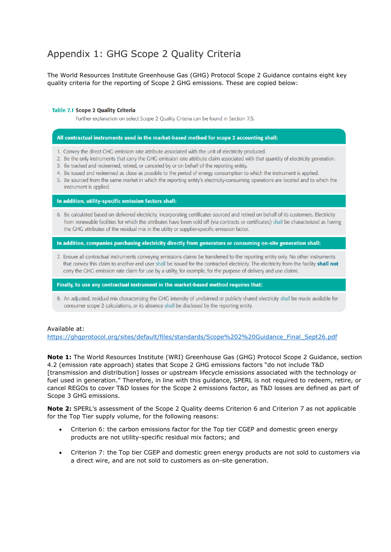# Appendix 1: GHG Scope 2 Quality Criteria

The World Resources Institute Greenhouse Gas (GHG) Protocol Scope 2 Guidance contains eight key quality criteria for the reporting of Scope 2 GHG emissions. These are copied below:

### **Table 7.1 Scope 2 Quality Criteria**

Further explanation on select Scope 2 Quality Criteria can be found in Section 7.5.

#### All contractual instruments used in the market-based method for scope 2 accounting shall:

- 1. Convey the direct GHG emission rate attribute associated with the unit of electricity produced.
- 2. Be the only instruments that carry the GHG emission rate attribute claim associated with that quantity of electricity generation.
- 3. Be tracked and redeemed, retired, or canceled by or on behalf of the reporting entity.
- 4. Be issued and redeemed as close as possible to the period of energy consumption to which the instrument is applied.
- 5. Be sourced from the same market in which the reporting entity's electricity-consuming operations are located and to which the instrument is applied.

#### In addition, utility-specific emission factors shall:

6. Be calculated based on delivered electricity, incorporating certificates sourced and retired on behalf of its customers. Electricity from renewable facilities for which the attributes have been sold off (via contracts or certificates) shall be characterized as having the GHG attributes of the residual mix in the utility or supplier-specific emission factor.

In addition, companies purchasing electricity directly from generators or consuming on-site generation shall:

7. Ensure all contractual instruments conveying emissions claims be transferred to the reporting entity only. No other instruments that convey this claim to another end user shall be issued for the contracted electricity. The electricity from the facility shall not carry the GHG emission rate claim for use by a utility, for example, for the purpose of delivery and use claims.

Finally, to use any contractual instrument in the market-based method requires that:

8. An adjusted, residual mix characterizing the GHG intensity of unclaimed or publicly shared electricity shall be made available for consumer scope 2 calculations, or its absence shall be disclosed by the reporting entity.

### Available at:

[https://ghgprotocol.org/sites/default/files/standards/Scope%202%20Guidance\\_Final\\_Sept26.pdf](https://ghgprotocol.org/sites/default/files/standards/Scope%202%20Guidance_Final_Sept26.pdf)

**Note 1:** The World Resources Institute (WRI) Greenhouse Gas (GHG) Protocol Scope 2 Guidance, section 4.2 (emission rate approach) states that Scope 2 GHG emissions factors "do not include T&D [transmission and distribution] losses or upstream lifecycle emissions associated with the technology or fuel used in generation." Therefore, in line with this guidance, SPERL is not required to redeem, retire, or cancel REGOs to cover T&D losses for the Scope 2 emissions factor, as T&D losses are defined as part of Scope 3 GHG emissions.

**Note 2:** SPERL's assessment of the Scope 2 Quality deems Criterion 6 and Criterion 7 as not applicable for the Top Tier supply volume, for the following reasons:

- Criterion 6: the carbon emissions factor for the Top tier CGEP and domestic green energy products are not utility-specific residual mix factors; and
- Criterion 7: the Top tier CGEP and domestic green energy products are not sold to customers via a direct wire, and are not sold to customers as on-site generation.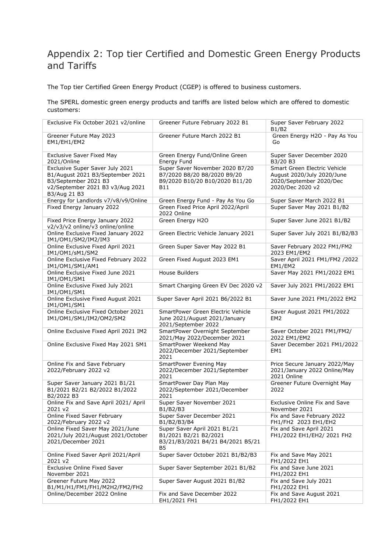# Appendix 2: Top tier Certified and Domestic Green Energy Products and Tariffs

The Top tier Certified Green Energy Product (CGEP) is offered to business customers.

The SPERL domestic green energy products and tariffs are listed below which are offered to domestic customers:

| Exclusive Fix October 2021 v2/online                                                                                                            | Greener Future February 2022 B1                                                                         | Super Saver February 2022<br>B1/B2                                                                        |
|-------------------------------------------------------------------------------------------------------------------------------------------------|---------------------------------------------------------------------------------------------------------|-----------------------------------------------------------------------------------------------------------|
| Greener Future May 2023<br>EM1/EH1/EM2                                                                                                          | Greener Future March 2022 B1                                                                            | Green Energy H2O - Pay As You<br>Go                                                                       |
| <b>Exclusive Saver Fixed May</b><br>2021/Online                                                                                                 | Green Energy Fund/Online Green<br>Energy Fund                                                           | Super Saver December 2020<br>B3/20 B3                                                                     |
| Exclusive Super Saver July 2021<br>B1/August 2021 B3/September 2021<br>B3/September 2021 B3<br>v2/September 2021 B3 v3/Aug 2021<br>B3/Aug 21 B3 | Super Saver November 2020 B7/20<br>B7/2020 B8/20 B8/2020 B9/20<br>B9/2020 B10/20 B10/2020 B11/20<br>B11 | Smart Green Electric Vehicle<br>August 2020/July 2020/June<br>2020/September 2020/Dec<br>2020/Dec 2020 v2 |
| Energy for Landlords v7/v8/v9/Online                                                                                                            | Green Energy Fund - Pay As You Go                                                                       | Super Saver March 2022 B1                                                                                 |
| Fixed Energy January 2022                                                                                                                       | Green Fixed Price April 2022/April<br>2022 Online                                                       | Super Saver May 2021 B1/B2                                                                                |
| Fixed Price Energy January 2022<br>v2/v3/v2 online/v3 online/online                                                                             | Green Energy H2O                                                                                        | Super Saver June 2021 B1/B2                                                                               |
| Online Exclusive Fixed January 2022<br>IM1/OM1/SM2/IM2/IM3                                                                                      | Green Electric Vehicle January 2021                                                                     | Super Saver July 2021 B1/B2/B3                                                                            |
| Online Exclusive Fixed April 2021<br>IM1/OM1/sM1/SM2                                                                                            | Green Super Saver May 2022 B1                                                                           | Saver February 2022 FM1/FM2<br>2023 EM1/EM2                                                               |
| Online Exclusive Fixed February 2022<br>IM1/OM1/SM1/AM1                                                                                         | Green Fixed August 2023 EM1                                                                             | Saver April 2021 FM1/FM2 /2022<br>EM1/EM2                                                                 |
| Online Exclusive Fixed June 2021<br>IM1/OM1/SM1                                                                                                 | <b>House Builders</b>                                                                                   | Saver May 2021 FM1/2022 EM1                                                                               |
| Online Exclusive Fixed July 2021<br>IM1/OM1/SM1                                                                                                 | Smart Charging Green EV Dec 2020 v2                                                                     | Saver July 2021 FM1/2022 EM1                                                                              |
| Online Exclusive Fixed August 2021<br>IM1/OM1/SM1                                                                                               | Super Saver April 2021 B6/2022 B1                                                                       | Saver June 2021 FM1/2022 EM2                                                                              |
| Online Exclusive Fixed October 2021<br>IM1/OM1/SM1/IM2/OM2/SM2                                                                                  | SmartPower Green Electric Vehicle<br>June 2021/August 2021/January<br>2021/September 2022               | Saver August 2021 FM1/2022<br>EM <sub>2</sub>                                                             |
| Online Exclusive Fixed April 2021 IM2                                                                                                           | SmartPower Overnight September<br>2021/May 2022/December 2021                                           | Saver October 2021 FM1/FM2/<br>2022 EM1/EM2                                                               |
| Online Exclusive Fixed May 2021 SM1                                                                                                             | SmartPower Weekend May<br>2022/December 2021/September<br>2021                                          | Saver December 2021 FM1/2022<br>EM1                                                                       |
| Online Fix and Save February<br>2022/February 2022 v2                                                                                           | SmartPower Evening May<br>2022/December 2021/September<br>2021                                          | Price Secure January 2022/May<br>2021/January 2022 Online/May<br>2021 Online                              |
| Super Saver January 2021 B1/21<br>B1/2021 B2/21 B2/2022 B1/2022<br>B2/2022 B3                                                                   | SmartPower Day Plan May<br>2022/September 2021/December<br>2021                                         | Greener Future Overnight May<br>2022                                                                      |
| Online Fix and Save April 2021/ April<br>2021 v2                                                                                                | Super Saver November 2021<br>B1/B2/B3                                                                   | <b>Exclusive Online Fix and Save</b><br>November 2021                                                     |
| Online Fixed Saver February<br>2022/February 2022 v2                                                                                            | Super Saver December 2021<br>B1/B2/B3/B4                                                                | Fix and Save February 2022<br>FH1/FH2 2023 EH1/EH2                                                        |
| Online Fixed Saver May 2021/June<br>2021/July 2021/August 2021/October<br>2021/December 2021                                                    | Super Saver April 2021 B1/21<br>B1/2021 B2/21 B2/2021<br>B3/21/B3/2021 B4/21 B4/2021 B5/21<br><b>B5</b> | Fix and Save April 2021<br>FH1/2022 EH1/EH2/ 2021 FH2                                                     |
| Online Fixed Saver April 2021/April<br>2021 v2                                                                                                  | Super Saver October 2021 B1/B2/B3                                                                       | Fix and Save May 2021<br>FH1/2022 EH1                                                                     |
| <b>Exclusive Online Fixed Saver</b><br>November 2021                                                                                            | Super Saver September 2021 B1/B2                                                                        | Fix and Save June 2021<br>FH1/2022 EH1                                                                    |
| Greener Future May 2022<br>B1/M1/H1/FM1/FH1/M2H2/FM2/FH2                                                                                        | Super Saver August 2021 B1/B2                                                                           | Fix and Save July 2021<br>FH1/2022 EH1                                                                    |
| Online/December 2022 Online                                                                                                                     | Fix and Save December 2022<br>EH1/2021 FH1                                                              | Fix and Save August 2021<br>FH1/2022 EH1                                                                  |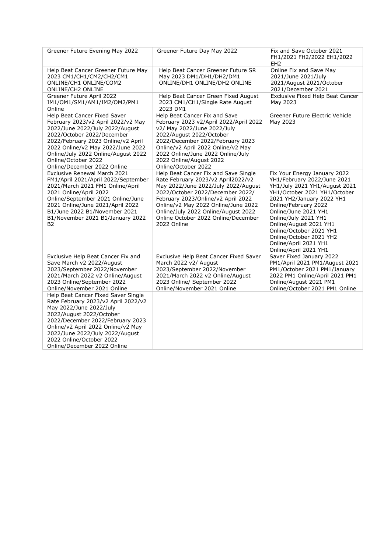| Greener Future Evening May 2022                                                                                                                                                                                                                                                                             | Greener Future Day May 2022                                                                                                                                                                                                                                                                                                     | Fix and Save October 2021<br>FH1/2021 FH2/2022 EH1/2022<br>EH <sub>2</sub>                                                                                                                                                                                                                                                                                          |
|-------------------------------------------------------------------------------------------------------------------------------------------------------------------------------------------------------------------------------------------------------------------------------------------------------------|---------------------------------------------------------------------------------------------------------------------------------------------------------------------------------------------------------------------------------------------------------------------------------------------------------------------------------|---------------------------------------------------------------------------------------------------------------------------------------------------------------------------------------------------------------------------------------------------------------------------------------------------------------------------------------------------------------------|
| Help Beat Cancer Greener Future May<br>2023 CM1/CH1/CM2/CH2/CM1<br>ONLINE/CH1 ONLINE/COM2<br><b>ONLINE/CH2 ONLINE</b>                                                                                                                                                                                       | Help Beat Cancer Greener Future SR<br>May 2023 DM1/DH1/DH2/DM1<br>ONLINE/DH1 ONLINE/DH2 ONLINE                                                                                                                                                                                                                                  | Online Fix and Save May<br>2021/June 2021/July<br>2021/August 2021/October<br>2021/December 2021                                                                                                                                                                                                                                                                    |
| Greener Future April 2022<br>IM1/OM1/SM1/AM1/IM2/OM2/PM1<br>Online                                                                                                                                                                                                                                          | Help Beat Cancer Green Fixed August<br>2023 CM1/CH1/Single Rate August<br>2023 DM1                                                                                                                                                                                                                                              | Exclusive Fixed Help Beat Cancer<br>May 2023                                                                                                                                                                                                                                                                                                                        |
| Help Beat Cancer Fixed Saver<br>February 2023/v2 April 2022/v2 May<br>2022/June 2022/July 2022/August<br>2022/October 2022/December<br>2022/February 2023 Online/v2 April<br>2022 Online/v2 May 2022/June 2022<br>Online/July 2022 Online/August 2022<br>Online/October 2022<br>Online/December 2022 Online | Help Beat Cancer Fix and Save<br>February 2023 v2/April 2022/April 2022<br>v2/ May 2022/June 2022/July<br>2022/August 2022/October<br>2022/December 2022/February 2023<br>Online/v2 April 2022 Online/v2 May<br>2022 Online/June 2022 Online/July<br>2022 Online/August 2022<br>Online/October 2022                             | Greener Future Electric Vehicle<br>May 2023                                                                                                                                                                                                                                                                                                                         |
| Exclusive Renewal March 2021<br>FM1/April 2021/April 2022/September<br>2021/March 2021 FM1 Online/April<br>2021 Online/April 2022<br>Online/September 2021 Online/June<br>2021 Online/June 2021/April 2022<br>B1/June 2022 B1/November 2021<br>B1/November 2021 B1/January 2022<br>B2                       | Help Beat Cancer Fix and Save Single<br>Rate February 2023/v2 April2022/v2<br>May 2022/June 2022/July 2022/August<br>2022/October 2022/December 2022/<br>February 2023/Online/v2 April 2022<br>Online/v2 May 2022 Online/June 2022<br>Online/July 2022 Online/August 2022<br>Online October 2022 Online/December<br>2022 Online | Fix Your Energy January 2022<br>YH1/February 2022/June 2021<br>YH1/July 2021 YH1/August 2021<br>YH1/October 2021 YH1/October<br>2021 YH2/January 2022 YH1<br>Online/February 2022<br>Online/June 2021 YH1<br>Online/July 2021 YH1<br>Online/August 2021 YH1<br>Online/October 2021 YH1<br>Online/October 2021 YH2<br>Online/April 2021 YH1<br>Online/April 2021 YH1 |
| Exclusive Help Beat Cancer Fix and<br>Save March v2 2022/August<br>2023/September 2022/November<br>2021/March 2022 v2 Online/August<br>2023 Online/September 2022<br>Online/November 2021 Online                                                                                                            | Exclusive Help Beat Cancer Fixed Saver<br>March 2022 v2/ August<br>2023/September 2022/November<br>2021/March 2022 v2 Online/August<br>2023 Online/ September 2022<br>Online/November 2021 Online                                                                                                                               | Saver Fixed January 2022<br>PM1/April 2021 PM1/August 2021<br>PM1/October 2021 PM1/January<br>2022 PM1 Online/April 2021 PM1<br>Online/August 2021 PM1<br>Online/October 2021 PM1 Online                                                                                                                                                                            |
| Help Beat Cancer Fixed Saver Single<br>Rate February 2023/v2 April 2022/v2<br>May 2022/June 2022/July<br>2022/August 2022/October<br>2022/December 2022/February 2023<br>Online/v2 April 2022 Online/v2 May<br>2022/June 2022/July 2022/August<br>2022 Online/October 2022<br>Online/December 2022 Online   |                                                                                                                                                                                                                                                                                                                                 |                                                                                                                                                                                                                                                                                                                                                                     |